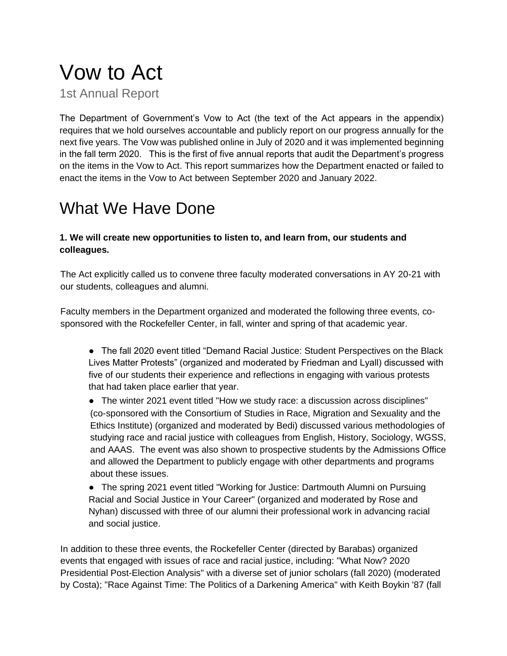# Vow to Act

1st Annual Report

The Department of Government's Vow to Act (the text of the Act appears in the appendix) requires that we hold ourselves accountable and publicly report on our progress annually for the next five years. The Vow was published online in July of 2020 and it was implemented beginning in the fall term 2020. This is the first of five annual reports that audit the Department's progress on the items in the Vow to Act. This report summarizes how the Department enacted or failed to enact the items in the Vow to Act between September 2020 and January 2022.

# What We Have Done

### **1. We will create new opportunities to listen to, and learn from, our students and colleagues.**

The Act explicitly called us to convene three faculty moderated conversations in AY 20-21 with our students, colleagues and alumni.

Faculty members in the Department organized and moderated the following three events, cosponsored with the Rockefeller Center, in fall, winter and spring of that academic year.

- The fall 2020 event titled "Demand Racial Justice: Student Perspectives on the Black Lives Matter Protests" (organized and moderated by Friedman and Lyall) discussed with five of our students their experience and reflections in engaging with various protests that had taken place earlier that year.
- The winter 2021 event titled "How we study race: a discussion across disciplines" (co-sponsored with the Consortium of Studies in Race, Migration and Sexuality and the Ethics Institute) (organized and moderated by Bedi) discussed various methodologies of studying race and racial justice with colleagues from English, History, Sociology, WGSS, and AAAS. The event was also shown to prospective students by the Admissions Office and allowed the Department to publicly engage with other departments and programs about these issues.

● The spring 2021 event titled "Working for Justice: Dartmouth Alumni on Pursuing Racial and Social Justice in Your Career" (organized and moderated by Rose and Nyhan) discussed with three of our alumni their professional work in advancing racial and social justice.

In addition to these three events, the Rockefeller Center (directed by Barabas) organized events that engaged with issues of race and racial justice, including: "What Now? 2020 Presidential Post-Election Analysis" with a diverse set of junior scholars (fall 2020) (moderated by Costa); "Race Against Time: The Politics of a Darkening America" with Keith Boykin '87 (fall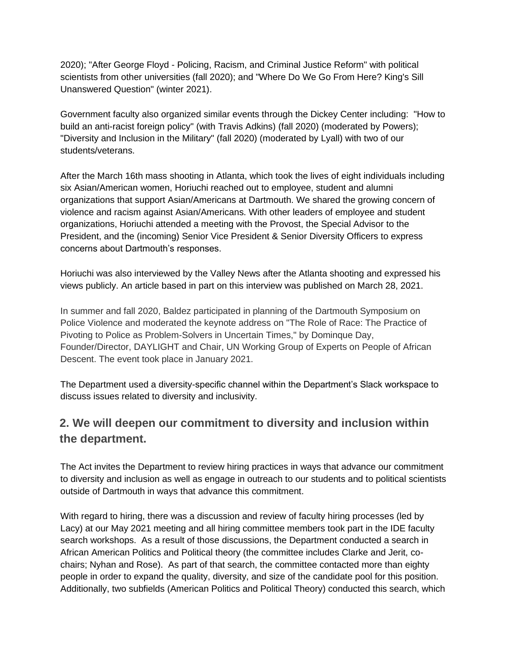2020); "After George Floyd - Policing, Racism, and Criminal Justice Reform" with political scientists from other universities (fall 2020); and "Where Do We Go From Here? King's Sill Unanswered Question" (winter 2021).

Government faculty also organized similar events through the Dickey Center including: "How to build an anti-racist foreign policy" (with Travis Adkins) (fall 2020) (moderated by Powers); "Diversity and Inclusion in the Military" (fall 2020) (moderated by Lyall) with two of our students/veterans.

After the March 16th mass shooting in Atlanta, which took the lives of eight individuals including six Asian/American women, Horiuchi reached out to employee, student and alumni organizations that support Asian/Americans at Dartmouth. We shared the growing concern of violence and racism against Asian/Americans. With other leaders of employee and student organizations, Horiuchi attended a meeting with the Provost, the Special Advisor to the President, and the (incoming) Senior Vice President & Senior Diversity Officers to express concerns about Dartmouth's responses.

Horiuchi was also interviewed by the Valley News after the Atlanta shooting and expressed his views publicly. An article based in part on this interview was published on March 28, 2021.

In summer and fall 2020, Baldez participated in planning of the Dartmouth Symposium on Police Violence and moderated the keynote address on "The Role of Race: The Practice of Pivoting to Police as Problem-Solvers in Uncertain Times," by Dominque Day, Founder/Director, DAYLIGHT and Chair, UN Working Group of Experts on People of African Descent. The event took place in January 2021.

The Department used a diversity-specific channel within the Department's Slack workspace to discuss issues related to diversity and inclusivity.

### **2. We will deepen our commitment to diversity and inclusion within the department.**

The Act invites the Department to review hiring practices in ways that advance our commitment to diversity and inclusion as well as engage in outreach to our students and to political scientists outside of Dartmouth in ways that advance this commitment.

With regard to hiring, there was a discussion and review of faculty hiring processes (led by Lacy) at our May 2021 meeting and all hiring committee members took part in the IDE faculty search workshops. As a result of those discussions, the Department conducted a search in African American Politics and Political theory (the committee includes Clarke and Jerit, cochairs; Nyhan and Rose). As part of that search, the committee contacted more than eighty people in order to expand the quality, diversity, and size of the candidate pool for this position. Additionally, two subfields (American Politics and Political Theory) conducted this search, which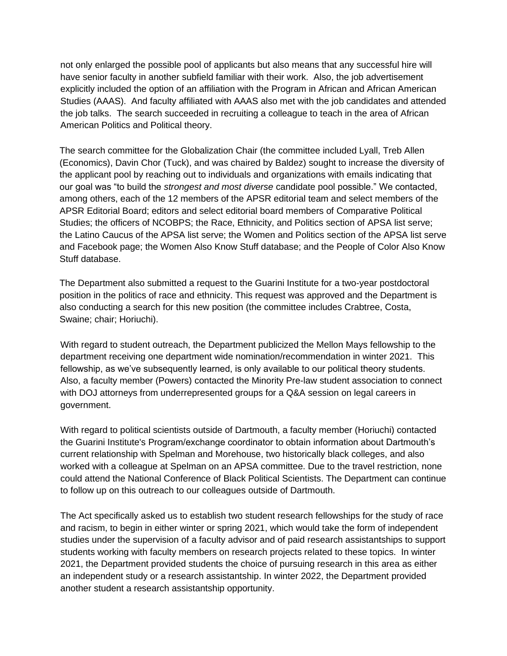not only enlarged the possible pool of applicants but also means that any successful hire will have senior faculty in another subfield familiar with their work. Also, the job advertisement explicitly included the option of an affiliation with the Program in African and African American Studies (AAAS). And faculty affiliated with AAAS also met with the job candidates and attended the job talks. The search succeeded in recruiting a colleague to teach in the area of African American Politics and Political theory.

The search committee for the Globalization Chair (the committee included Lyall, Treb Allen (Economics), Davin Chor (Tuck), and was chaired by Baldez) sought to increase the diversity of the applicant pool by reaching out to individuals and organizations with emails indicating that our goal was "to build the *strongest and most diverse* candidate pool possible." We contacted, among others, each of the 12 members of th[e](https://www.cambridge.org/core/journals/american-political-science-review/information/editorial-board) APSR editorial team and select members of th[e](https://www.cambridge.org/core/journals/american-political-science-review/information/editorial-board) APSR Editorial Board; editors and select editorial board members of [C](https://journals-sagepub-com.dartmouth.idm.oclc.org/editorial-board/CPS)omparative Political Studies; the officers of [N](https://www.ncobps.org/about-us/leadership)COBPS; the Race, Ethnicity, and Politics section of APSA list serve; the Latino Caucus of the APSA list serve; the Women and Politics section of the APSA list serve and Facebook page; the Women Also Know Stuff database; and the People of Color Also Know Stuff database.

The Department also submitted a request to the Guarini Institute for a two-year postdoctoral position in the politics of race and ethnicity. This request was approved and the Department is also conducting a search for this new position (the committee includes Crabtree, Costa, Swaine; chair; Horiuchi).

With regard to student outreach, the Department publicized the Mellon Mays fellowship to the department receiving one department wide nomination/recommendation in winter 2021. This fellowship, as we've subsequently learned, is only available to our political theory students. Also, a faculty member (Powers) contacted the Minority Pre-law student association to connect with DOJ attorneys from underrepresented groups for a Q&A session on legal careers in government.

With regard to political scientists outside of Dartmouth, a faculty member (Horiuchi) contacted the Guarini Institute's Program/exchange coordinator to obtain information about Dartmouth's current relationship with Spelman and Morehouse, two historically black colleges, and also worked with a colleague at Spelman on an APSA committee. Due to the travel restriction, none could attend the National Conference of Black Political Scientists. The Department can continue to follow up on this outreach to our colleagues outside of Dartmouth.

The Act specifically asked us to establish two student research fellowships for the study of race and racism, to begin in either winter or spring 2021, which would take the form of independent studies under the supervision of a faculty advisor and of paid research assistantships to support students working with faculty members on research projects related to these topics. In winter 2021, the Department provided students the choice of pursuing research in this area as either an independent study or a research assistantship. In winter 2022, the Department provided another student a research assistantship opportunity.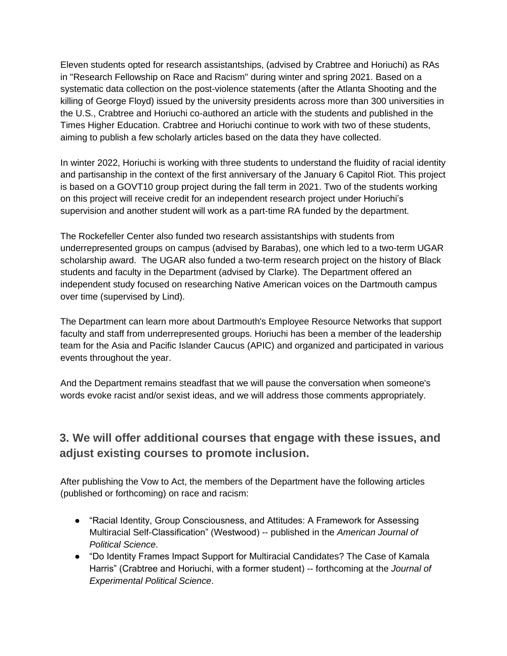Eleven students opted for research assistantships, (advised by Crabtree and Horiuchi) as RAs in "Research Fellowship on Race and Racism" during winter and spring 2021. Based on a systematic data collection on the post-violence statements (after the Atlanta Shooting and the killing of George Floyd) issued by the university presidents across more than 300 universities in the U.S., Crabtree and Horiuchi co-authored an article with the students and published in the Times Higher Education. Crabtree and Horiuchi continue to work with two of these students, aiming to publish a few scholarly articles based on the data they have collected.

In winter 2022, Horiuchi is working with three students to understand the fluidity of racial identity and partisanship in the context of the first anniversary of the January 6 Capitol Riot. This project is based on a GOVT10 group project during the fall term in 2021. Two of the students working on this project will receive credit for an independent research project under Horiuchi's supervision and another student will work as a part-time RA funded by the department.

The Rockefeller Center also funded two research assistantships with students from underrepresented groups on campus (advised by Barabas), one which led to a two-term UGAR scholarship award. The UGAR also funded a two-term research project on the history of Black students and faculty in the Department (advised by Clarke). The Department offered an independent study focused on researching Native American voices on the Dartmouth campus over time (supervised by Lind).

The Department can learn more about Dartmouth's Employee Resource Networks that support faculty and staff from underrepresented groups. Horiuchi has been a member of the leadership team for the Asia and Pacific Islander Caucus (APIC) and organized and participated in various events throughout the year.

And the Department remains steadfast that we will pause the conversation when someone's words evoke racist and/or sexist ideas, and we will address those comments appropriately.

### **3. We will offer additional courses that engage with these issues, and adjust existing courses to promote inclusion.**

After publishing the Vow to Act, the members of the Department have the following articles (published or forthcoming) on race and racism:

- "Racial Identity, Group Consciousness, and Attitudes: A Framework for Assessing Multiracial Self-Classification" (Westwood) -- published in the *American Journal of Political Science*.
- "Do Identity Frames Impact Support for Multiracial Candidates? The Case of Kamala Harris" (Crabtree and Horiuchi, with a former student) -- forthcoming at the *Journal of Experimental Political Science*.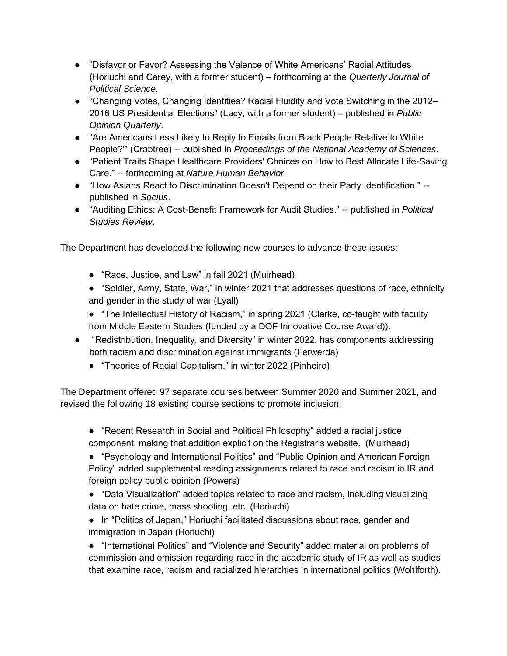- "Disfavor or Favor? Assessing the Valence of White Americans' Racial Attitudes (Horiuchi and Carey, with a former student) – forthcoming at the *Quarterly Journal of Political Science*.
- "Changing Votes, Changing Identities? Racial Fluidity and Vote Switching in the 2012– 2016 US Presidential Elections" (Lacy, with a former student) – published in *Public Opinion Quarterly*.
- "Are Americans Less Likely to Reply to Emails from Black People Relative to White People?'" (Crabtree) -- published in *Proceedings of the National Academy of Sciences*.
- "Patient Traits Shape Healthcare Providers' Choices on How to Best Allocate Life-Saving Care." -- forthcoming at *Nature Human Behavior*.
- "How Asians React to Discrimination Doesn't Depend on their Party Identification." -published in *Socius*.
- "Auditing Ethics: A Cost-Benefit Framework for Audit Studies." -- published in *Political Studies Review*.

The Department has developed the following new courses to advance these issues:

- "Race, Justice, and Law" in fall 2021 (Muirhead)
- "Soldier, Army, State, War," in winter 2021 that addresses questions of race, ethnicity and gender in the study of war (Lyall)
- "The Intellectual History of Racism," in spring 2021 (Clarke, co-taught with faculty from Middle Eastern Studies (funded by a DOF Innovative Course Award)).
- "Redistribution, Inequality, and Diversity" in winter 2022, has components addressing both racism and discrimination against immigrants (Ferwerda)
	- "Theories of Racial Capitalism," in winter 2022 (Pinheiro)

The Department offered 97 separate courses between Summer 2020 and Summer 2021, and revised the following 18 existing course sections to promote inclusion:

- "Recent Research in Social and Political Philosophy" added a racial justice component, making that addition explicit on the Registrar's website. (Muirhead)
- "Psychology and International Politics" and "Public Opinion and American Foreign Policy" added supplemental reading assignments related to race and racism in IR and foreign policy public opinion (Powers)

● "Data Visualization" added topics related to race and racism, including visualizing data on hate crime, mass shooting, etc. (Horiuchi)

● In "Politics of Japan," Horiuchi facilitated discussions about race, gender and immigration in Japan (Horiuchi)

● "International Politics" and "Violence and Security" added material on problems of commission and omission regarding race in the academic study of IR as well as studies that examine race, racism and racialized hierarchies in international politics (Wohlforth).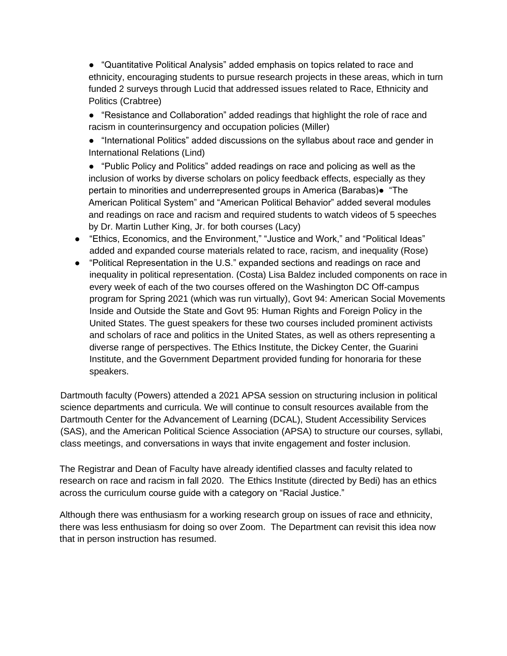● "Quantitative Political Analysis" added emphasis on topics related to race and ethnicity, encouraging students to pursue research projects in these areas, which in turn funded 2 surveys through Lucid that addressed issues related to Race, Ethnicity and Politics (Crabtree)

- "Resistance and Collaboration" added readings that highlight the role of race and racism in counterinsurgency and occupation policies (Miller)
- "International Politics" added discussions on the syllabus about race and gender in International Relations (Lind)
- "Public Policy and Politics" added readings on race and policing as well as the inclusion of works by diverse scholars on policy feedback effects, especially as they pertain to minorities and underrepresented groups in America (Barabas)● "The American Political System" and "American Political Behavior" added several modules and readings on race and racism and required students to watch videos of 5 speeches by Dr. Martin Luther King, Jr. for both courses (Lacy)
- "Ethics, Economics, and the Environment," "Justice and Work," and "Political Ideas" added and expanded course materials related to race, racism, and inequality (Rose)
- "Political Representation in the U.S." expanded sections and readings on race and inequality in political representation. (Costa) Lisa Baldez included components on race in every week of each of the two courses offered on the Washington DC Off-campus program for Spring 2021 (which was run virtually), Govt 94: American Social Movements Inside and Outside the State and Govt 95: Human Rights and Foreign Policy in the United States. The guest speakers for these two courses included prominent activists and scholars of race and politics in the United States, as well as others representing a diverse range of perspectives. The Ethics Institute, the Dickey Center, the Guarini Institute, and the Government Department provided funding for honoraria for these speakers.

Dartmouth faculty (Powers) attended a 2021 APSA session on structuring inclusion in political science departments and curricula. We will continue to consult resources available from the Dartmouth Center for the Advancement of Learning (DCAL), Student Accessibility Services (SAS), and the American Political Science Association (APSA) to structure our courses, syllabi, class meetings, and conversations in ways that invite engagement and foster inclusion.

The Registrar and Dean of Faculty have already identified classes and faculty related to research on race and racism in fall 2020. The Ethics Institute (directed by Bedi) has an ethics across the curriculum course guide with a category on "Racial Justice."

Although there was enthusiasm for a working research group on issues of race and ethnicity, there was less enthusiasm for doing so over Zoom. The Department can revisit this idea now that in person instruction has resumed.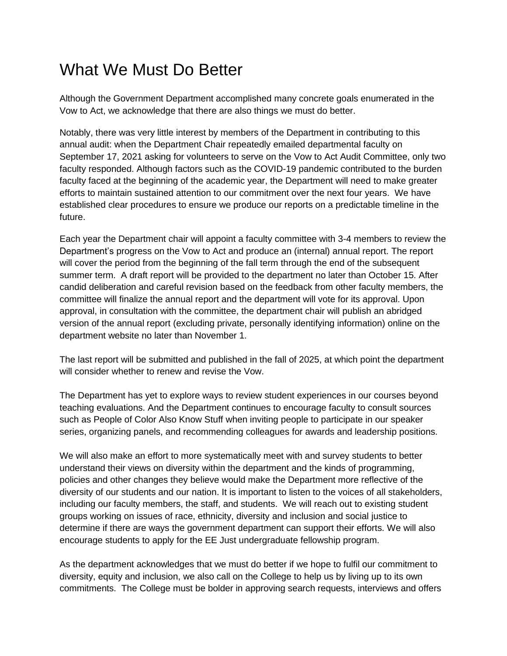### What We Must Do Better

Although the Government Department accomplished many concrete goals enumerated in the Vow to Act, we acknowledge that there are also things we must do better.

Notably, there was very little interest by members of the Department in contributing to this annual audit: when the Department Chair repeatedly emailed departmental faculty on September 17, 2021 asking for volunteers to serve on the Vow to Act Audit Committee, only two faculty responded. Although factors such as the COVID-19 pandemic contributed to the burden faculty faced at the beginning of the academic year, the Department will need to make greater efforts to maintain sustained attention to our commitment over the next four years. We have established clear procedures to ensure we produce our reports on a predictable timeline in the future.

Each year the Department chair will appoint a faculty committee with 3-4 members to review the Department's progress on the Vow to Act and produce an (internal) annual report. The report will cover the period from the beginning of the fall term through the end of the subsequent summer term. A draft report will be provided to the department no later than October 15. After candid deliberation and careful revision based on the feedback from other faculty members, the committee will finalize the annual report and the department will vote for its approval. Upon approval, in consultation with the committee, the department chair will publish an abridged version of the annual report (excluding private, personally identifying information) online on the department website no later than November 1.

The last report will be submitted and published in the fall of 2025, at which point the department will consider whether to renew and revise the Vow.

The Department has yet to explore ways to review student experiences in our courses beyond teaching evaluations. And the Department continues to encourage faculty to consult sources such as People of Color Also Know Stuff when inviting people to participate in our speaker series, organizing panels, and recommending colleagues for awards and leadership positions.

We will also make an effort to more systematically meet with and survey students to better understand their views on diversity within the department and the kinds of programming, policies and other changes they believe would make the Department more reflective of the diversity of our students and our nation. It is important to listen to the voices of all stakeholders, including our faculty members, the staff, and students. We will reach out to existing student groups working on issues of race, ethnicity, diversity and inclusion and social justice to determine if there are ways the government department can support their efforts. We will also encourage students to apply for the EE Just undergraduate fellowship program.

As the department acknowledges that we must do better if we hope to fulfil our commitment to diversity, equity and inclusion, we also call on the College to help us by living up to its own commitments. The College must be bolder in approving search requests, interviews and offers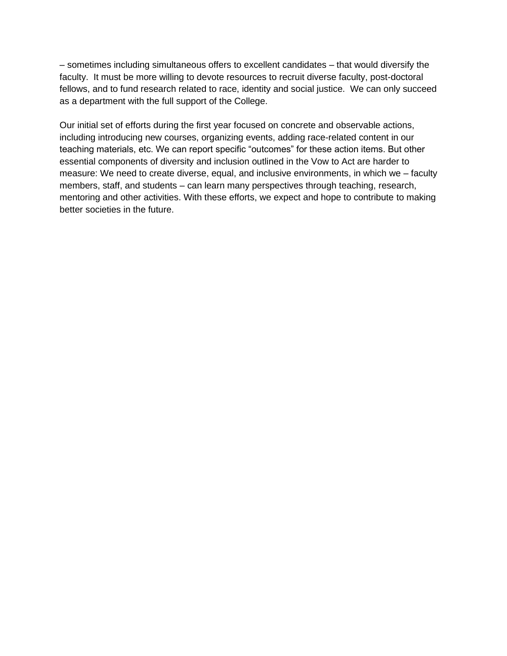– sometimes including simultaneous offers to excellent candidates – that would diversify the faculty. It must be more willing to devote resources to recruit diverse faculty, post-doctoral fellows, and to fund research related to race, identity and social justice. We can only succeed as a department with the full support of the College.

Our initial set of efforts during the first year focused on concrete and observable actions, including introducing new courses, organizing events, adding race-related content in our teaching materials, etc. We can report specific "outcomes" for these action items. But other essential components of diversity and inclusion outlined in the Vow to Act are harder to measure: We need to create diverse, equal, and inclusive environments, in which we – faculty members, staff, and students – can learn many perspectives through teaching, research, mentoring and other activities. With these efforts, we expect and hope to contribute to making better societies in the future.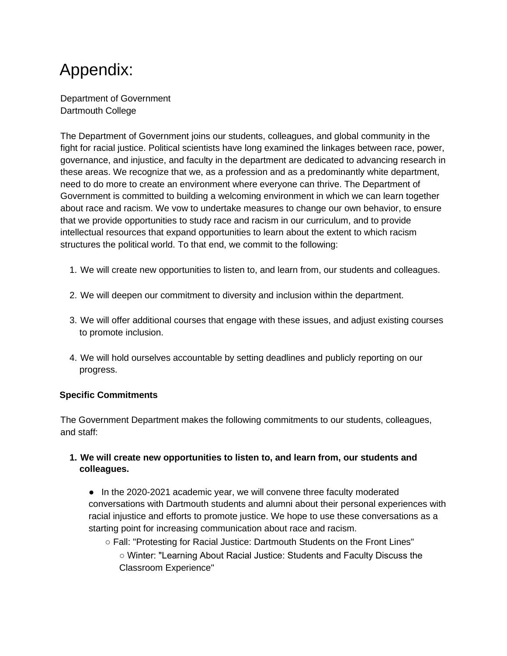# Appendix:

Department of Government Dartmouth College

The Department of Government joins our students, colleagues, and global community in the fight for racial justice. Political scientists have long examined the linkages between race, power, governance, and injustice, and faculty in the department are dedicated to advancing research in these areas. We recognize that we, as a profession and as a predominantly white department, need to do more to create an environment where everyone can thrive. The Department of Government is committed to building a welcoming environment in which we can learn together about race and racism. We vow to undertake measures to change our own behavior, to ensure that we provide opportunities to study race and racism in our curriculum, and to provide intellectual resources that expand opportunities to learn about the extent to which racism structures the political world. To that end, we commit to the following:

- 1. We will create new opportunities to listen to, and learn from, our students and colleagues.
- 2. We will deepen our commitment to diversity and inclusion within the department.
- 3. We will offer additional courses that engage with these issues, and adjust existing courses to promote inclusion.
- 4. We will hold ourselves accountable by setting deadlines and publicly reporting on our progress.

### **Specific Commitments**

The Government Department makes the following commitments to our students, colleagues, and staff:

### **1. We will create new opportunities to listen to, and learn from, our students and colleagues.**

● In the 2020-2021 academic year, we will convene three faculty moderated conversations with Dartmouth students and alumni about their personal experiences with racial injustice and efforts to promote justice. We hope to use these conversations as a starting point for increasing communication about race and racism.

○ Fall: "Protesting for Racial Justice: Dartmouth Students on the Front Lines" ○ Winter: "Learning About Racial Justice: Students and Faculty Discuss the Classroom Experience"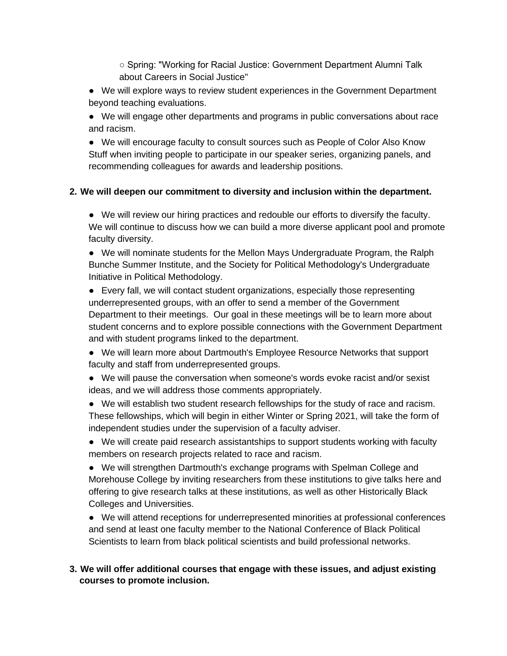○ Spring: "Working for Racial Justice: Government Department Alumni Talk about Careers in Social Justice"

- We will explore ways to review student experiences in the Government Department beyond teaching evaluations.
- We will engage other departments and programs in public conversations about race and racism.

● We will encourage faculty to consult sources such as People of Color Also Know Stuff when inviting people to participate in our speaker series, organizing panels, and recommending colleagues for awards and leadership positions.

### **2. We will deepen our commitment to diversity and inclusion within the department.**

● We will review our hiring practices and redouble our efforts to diversify the faculty. We will continue to discuss how we can build a more diverse applicant pool and promote faculty diversity.

● We will nominate students for the Mellon Mays Undergraduate Program, the Ralph Bunche Summer Institute, and the Society for Political Methodology's Undergraduate Initiative in Political Methodology.

● Every fall, we will contact student organizations, especially those representing underrepresented groups, with an offer to send a member of the Government Department to their meetings. Our goal in these meetings will be to learn more about student concerns and to explore possible connections with the Government Department and with student programs linked to the department.

- We will learn more about Dartmouth's Employee Resource Networks that support faculty and staff from underrepresented groups.
- We will pause the conversation when someone's words evoke racist and/or sexist ideas, and we will address those comments appropriately.
- We will establish two student research fellowships for the study of race and racism. These fellowships, which will begin in either Winter or Spring 2021, will take the form of independent studies under the supervision of a faculty adviser.
- We will create paid research assistantships to support students working with faculty members on research projects related to race and racism.

● We will strengthen Dartmouth's exchange programs with Spelman College and Morehouse College by inviting researchers from these institutions to give talks here and offering to give research talks at these institutions, as well as other Historically Black Colleges and Universities.

● We will attend receptions for underrepresented minorities at professional conferences and send at least one faculty member to the National Conference of Black Political Scientists to learn from black political scientists and build professional networks.

### **3. We will offer additional courses that engage with these issues, and adjust existing courses to promote inclusion.**